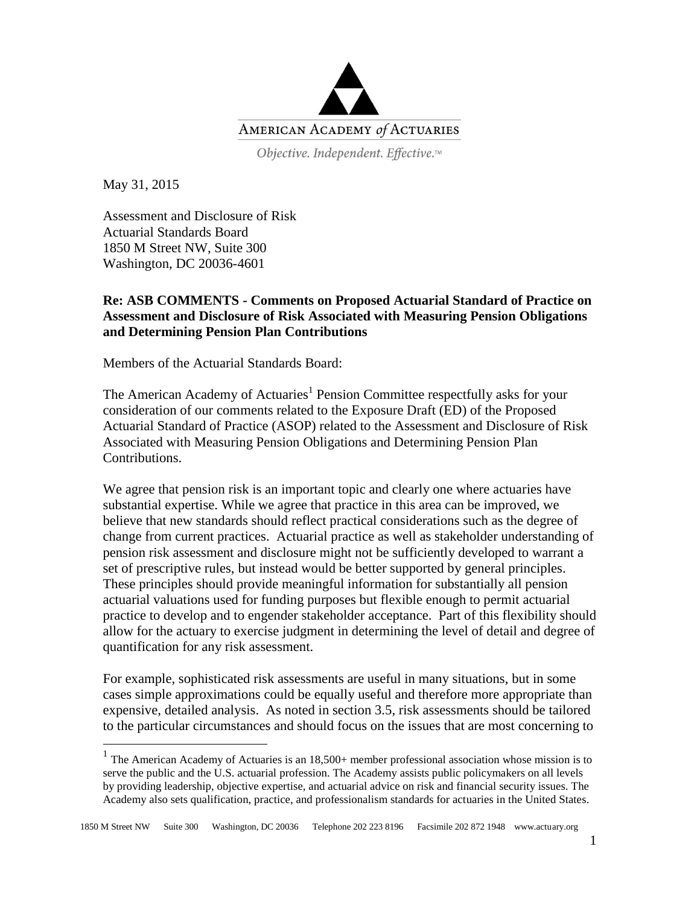

Objective. Independent. Effective.™

May 31, 2015

 $\overline{a}$ 

Assessment and Disclosure of Risk Actuarial Standards Board 1850 M Street NW, Suite 300 Washington, DC 20036-4601

#### **Re: ASB COMMENTS - Comments on Proposed Actuarial Standard of Practice on Assessment and Disclosure of Risk Associated with Measuring Pension Obligations and Determining Pension Plan Contributions**

Members of the Actuarial Standards Board:

The American Academy of Actuaries<sup>1</sup> Pension Committee respectfully asks for your consideration of our comments related to the Exposure Draft (ED) of the Proposed Actuarial Standard of Practice (ASOP) related to the Assessment and Disclosure of Risk Associated with Measuring Pension Obligations and Determining Pension Plan Contributions.

We agree that pension risk is an important topic and clearly one where actuaries have substantial expertise. While we agree that practice in this area can be improved, we believe that new standards should reflect practical considerations such as the degree of change from current practices. Actuarial practice as well as stakeholder understanding of pension risk assessment and disclosure might not be sufficiently developed to warrant a set of prescriptive rules, but instead would be better supported by general principles. These principles should provide meaningful information for substantially all pension actuarial valuations used for funding purposes but flexible enough to permit actuarial practice to develop and to engender stakeholder acceptance. Part of this flexibility should allow for the actuary to exercise judgment in determining the level of detail and degree of quantification for any risk assessment.

For example, sophisticated risk assessments are useful in many situations, but in some cases simple approximations could be equally useful and therefore more appropriate than expensive, detailed analysis. As noted in section 3.5, risk assessments should be tailored to the particular circumstances and should focus on the issues that are most concerning to

<sup>1</sup> The American Academy of Actuaries is an 18,500+ member professional association whose mission is to serve the public and the U.S. actuarial profession. The Academy assists public policymakers on all levels by providing leadership, objective expertise, and actuarial advice on risk and financial security issues. The Academy also sets qualification, practice, and professionalism standards for actuaries in the United States.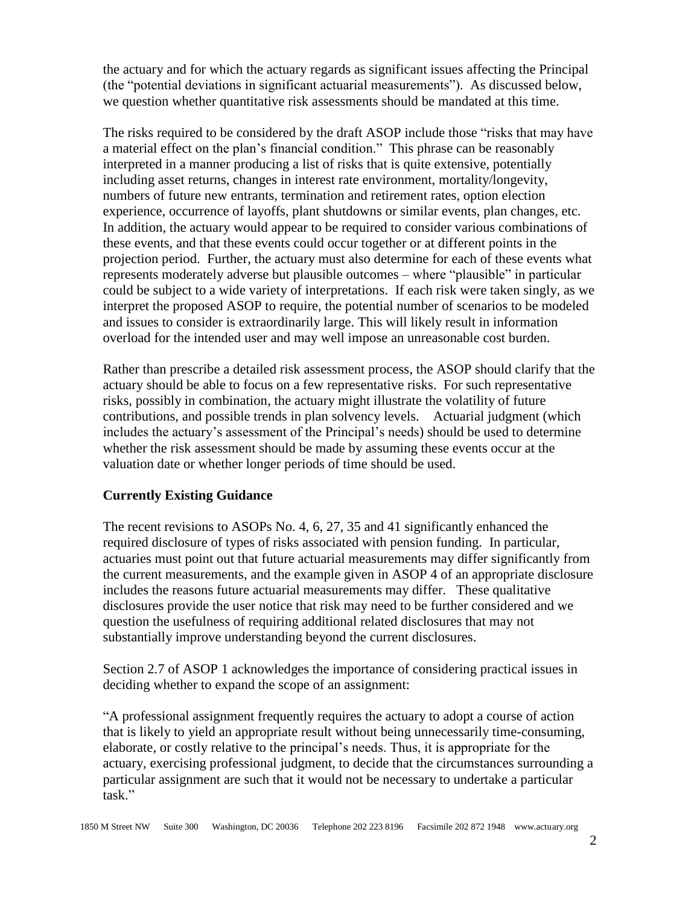the actuary and for which the actuary regards as significant issues affecting the Principal (the "potential deviations in significant actuarial measurements"). As discussed below, we question whether quantitative risk assessments should be mandated at this time.

The risks required to be considered by the draft ASOP include those "risks that may have a material effect on the plan's financial condition." This phrase can be reasonably interpreted in a manner producing a list of risks that is quite extensive, potentially including asset returns, changes in interest rate environment, mortality/longevity, numbers of future new entrants, termination and retirement rates, option election experience, occurrence of layoffs, plant shutdowns or similar events, plan changes, etc. In addition, the actuary would appear to be required to consider various combinations of these events, and that these events could occur together or at different points in the projection period. Further, the actuary must also determine for each of these events what represents moderately adverse but plausible outcomes – where "plausible" in particular could be subject to a wide variety of interpretations. If each risk were taken singly, as we interpret the proposed ASOP to require, the potential number of scenarios to be modeled and issues to consider is extraordinarily large. This will likely result in information overload for the intended user and may well impose an unreasonable cost burden.

Rather than prescribe a detailed risk assessment process, the ASOP should clarify that the actuary should be able to focus on a few representative risks. For such representative risks, possibly in combination, the actuary might illustrate the volatility of future contributions, and possible trends in plan solvency levels. Actuarial judgment (which includes the actuary's assessment of the Principal's needs) should be used to determine whether the risk assessment should be made by assuming these events occur at the valuation date or whether longer periods of time should be used.

### **Currently Existing Guidance**

The recent revisions to ASOPs No. 4, 6, 27, 35 and 41 significantly enhanced the required disclosure of types of risks associated with pension funding. In particular, actuaries must point out that future actuarial measurements may differ significantly from the current measurements, and the example given in ASOP 4 of an appropriate disclosure includes the reasons future actuarial measurements may differ. These qualitative disclosures provide the user notice that risk may need to be further considered and we question the usefulness of requiring additional related disclosures that may not substantially improve understanding beyond the current disclosures.

Section 2.7 of ASOP 1 acknowledges the importance of considering practical issues in deciding whether to expand the scope of an assignment:

"A professional assignment frequently requires the actuary to adopt a course of action that is likely to yield an appropriate result without being unnecessarily time-consuming, elaborate, or costly relative to the principal's needs. Thus, it is appropriate for the actuary, exercising professional judgment, to decide that the circumstances surrounding a particular assignment are such that it would not be necessary to undertake a particular task."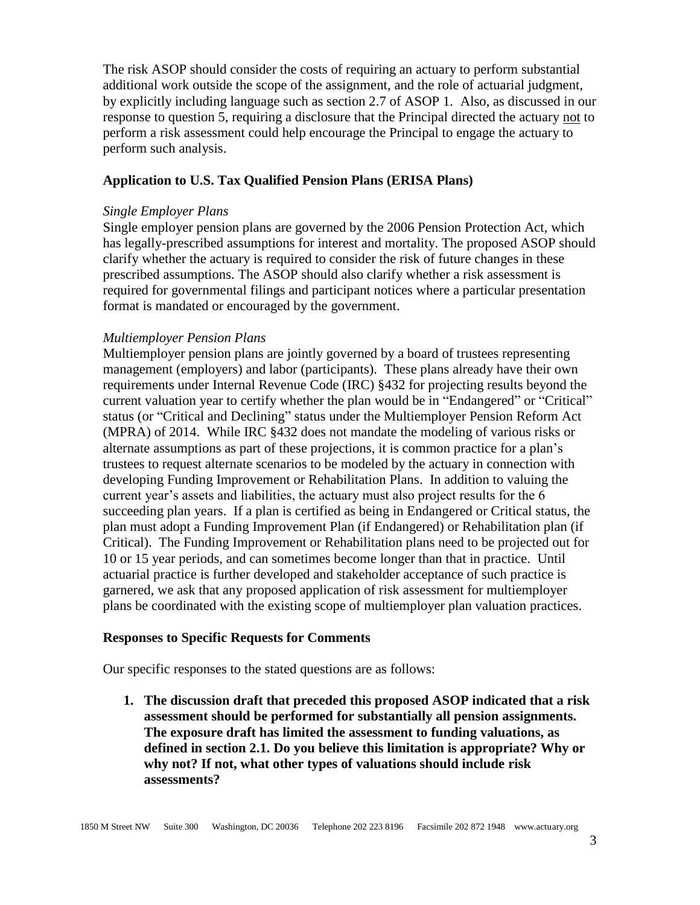The risk ASOP should consider the costs of requiring an actuary to perform substantial additional work outside the scope of the assignment, and the role of actuarial judgment, by explicitly including language such as section 2.7 of ASOP 1. Also, as discussed in our response to question 5, requiring a disclosure that the Principal directed the actuary not to perform a risk assessment could help encourage the Principal to engage the actuary to perform such analysis.

#### **Application to U.S. Tax Qualified Pension Plans (ERISA Plans)**

#### *Single Employer Plans*

Single employer pension plans are governed by the 2006 Pension Protection Act, which has legally-prescribed assumptions for interest and mortality. The proposed ASOP should clarify whether the actuary is required to consider the risk of future changes in these prescribed assumptions. The ASOP should also clarify whether a risk assessment is required for governmental filings and participant notices where a particular presentation format is mandated or encouraged by the government.

#### *Multiemployer Pension Plans*

Multiemployer pension plans are jointly governed by a board of trustees representing management (employers) and labor (participants). These plans already have their own requirements under Internal Revenue Code (IRC) §432 for projecting results beyond the current valuation year to certify whether the plan would be in "Endangered" or "Critical" status (or "Critical and Declining" status under the Multiemployer Pension Reform Act (MPRA) of 2014. While IRC §432 does not mandate the modeling of various risks or alternate assumptions as part of these projections, it is common practice for a plan's trustees to request alternate scenarios to be modeled by the actuary in connection with developing Funding Improvement or Rehabilitation Plans. In addition to valuing the current year's assets and liabilities, the actuary must also project results for the 6 succeeding plan years. If a plan is certified as being in Endangered or Critical status, the plan must adopt a Funding Improvement Plan (if Endangered) or Rehabilitation plan (if Critical). The Funding Improvement or Rehabilitation plans need to be projected out for 10 or 15 year periods, and can sometimes become longer than that in practice. Until actuarial practice is further developed and stakeholder acceptance of such practice is garnered, we ask that any proposed application of risk assessment for multiemployer plans be coordinated with the existing scope of multiemployer plan valuation practices.

#### **Responses to Specific Requests for Comments**

Our specific responses to the stated questions are as follows:

**1. The discussion draft that preceded this proposed ASOP indicated that a risk assessment should be performed for substantially all pension assignments. The exposure draft has limited the assessment to funding valuations, as defined in section 2.1. Do you believe this limitation is appropriate? Why or why not? If not, what other types of valuations should include risk assessments?**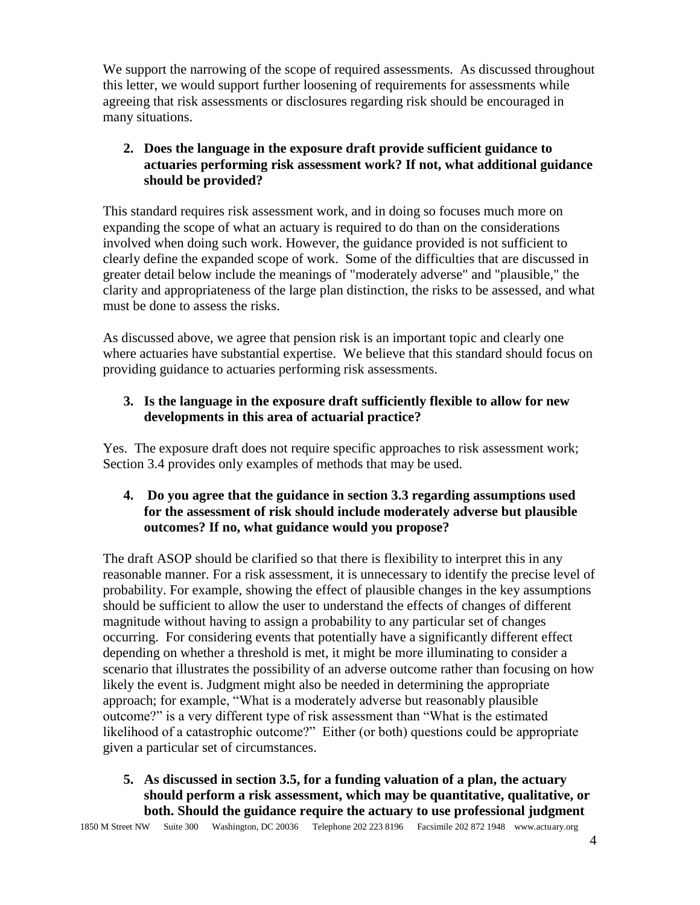We support the narrowing of the scope of required assessments. As discussed throughout this letter, we would support further loosening of requirements for assessments while agreeing that risk assessments or disclosures regarding risk should be encouraged in many situations.

# **2. Does the language in the exposure draft provide sufficient guidance to actuaries performing risk assessment work? If not, what additional guidance should be provided?**

This standard requires risk assessment work, and in doing so focuses much more on expanding the scope of what an actuary is required to do than on the considerations involved when doing such work. However, the guidance provided is not sufficient to clearly define the expanded scope of work. Some of the difficulties that are discussed in greater detail below include the meanings of "moderately adverse" and "plausible," the clarity and appropriateness of the large plan distinction, the risks to be assessed, and what must be done to assess the risks.

As discussed above, we agree that pension risk is an important topic and clearly one where actuaries have substantial expertise. We believe that this standard should focus on providing guidance to actuaries performing risk assessments.

# **3. Is the language in the exposure draft sufficiently flexible to allow for new developments in this area of actuarial practice?**

Yes. The exposure draft does not require specific approaches to risk assessment work; Section 3.4 provides only examples of methods that may be used.

### **4. Do you agree that the guidance in section 3.3 regarding assumptions used for the assessment of risk should include moderately adverse but plausible outcomes? If no, what guidance would you propose?**

The draft ASOP should be clarified so that there is flexibility to interpret this in any reasonable manner. For a risk assessment, it is unnecessary to identify the precise level of probability. For example, showing the effect of plausible changes in the key assumptions should be sufficient to allow the user to understand the effects of changes of different magnitude without having to assign a probability to any particular set of changes occurring. For considering events that potentially have a significantly different effect depending on whether a threshold is met, it might be more illuminating to consider a scenario that illustrates the possibility of an adverse outcome rather than focusing on how likely the event is. Judgment might also be needed in determining the appropriate approach; for example, "What is a moderately adverse but reasonably plausible outcome?" is a very different type of risk assessment than "What is the estimated likelihood of a catastrophic outcome?" Either (or both) questions could be appropriate given a particular set of circumstances.

# **5. As discussed in section 3.5, for a funding valuation of a plan, the actuary should perform a risk assessment, which may be quantitative, qualitative, or both. Should the guidance require the actuary to use professional judgment**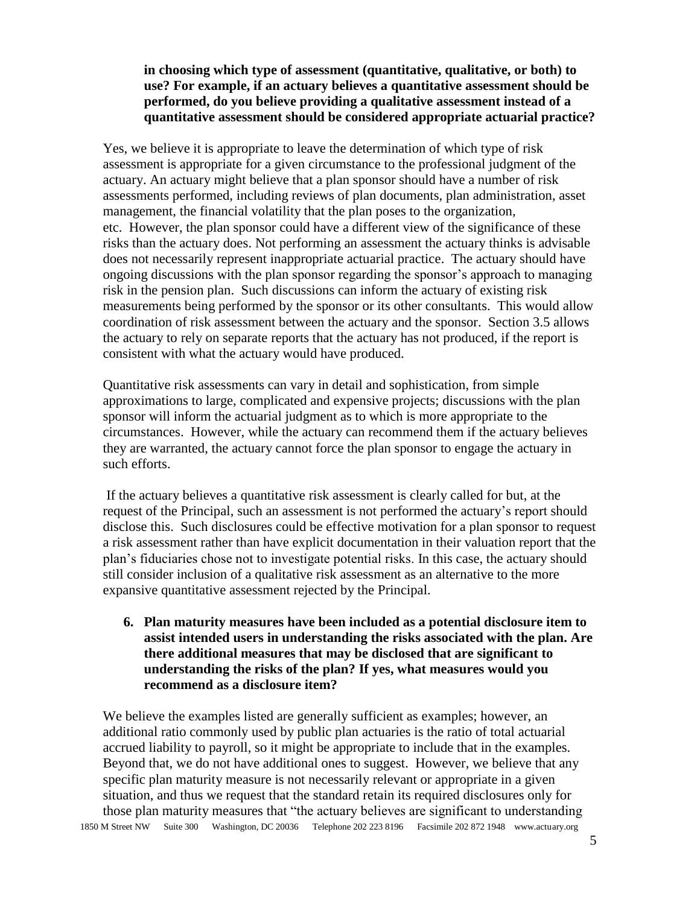### **in choosing which type of assessment (quantitative, qualitative, or both) to use? For example, if an actuary believes a quantitative assessment should be performed, do you believe providing a qualitative assessment instead of a quantitative assessment should be considered appropriate actuarial practice?**

Yes, we believe it is appropriate to leave the determination of which type of risk assessment is appropriate for a given circumstance to the professional judgment of the actuary. An actuary might believe that a plan sponsor should have a number of risk assessments performed, including reviews of plan documents, plan administration, asset management, the financial volatility that the plan poses to the organization, etc. However, the plan sponsor could have a different view of the significance of these risks than the actuary does. Not performing an assessment the actuary thinks is advisable does not necessarily represent inappropriate actuarial practice. The actuary should have ongoing discussions with the plan sponsor regarding the sponsor's approach to managing risk in the pension plan. Such discussions can inform the actuary of existing risk measurements being performed by the sponsor or its other consultants. This would allow coordination of risk assessment between the actuary and the sponsor. Section 3.5 allows the actuary to rely on separate reports that the actuary has not produced, if the report is consistent with what the actuary would have produced.

Quantitative risk assessments can vary in detail and sophistication, from simple approximations to large, complicated and expensive projects; discussions with the plan sponsor will inform the actuarial judgment as to which is more appropriate to the circumstances. However, while the actuary can recommend them if the actuary believes they are warranted, the actuary cannot force the plan sponsor to engage the actuary in such efforts.

If the actuary believes a quantitative risk assessment is clearly called for but, at the request of the Principal, such an assessment is not performed the actuary's report should disclose this. Such disclosures could be effective motivation for a plan sponsor to request a risk assessment rather than have explicit documentation in their valuation report that the plan's fiduciaries chose not to investigate potential risks. In this case, the actuary should still consider inclusion of a qualitative risk assessment as an alternative to the more expansive quantitative assessment rejected by the Principal.

**6. Plan maturity measures have been included as a potential disclosure item to assist intended users in understanding the risks associated with the plan. Are there additional measures that may be disclosed that are significant to understanding the risks of the plan? If yes, what measures would you recommend as a disclosure item?**

1850 M Street NW Suite 300 Washington, DC 20036 Telephone 202 223 8196 Facsimile 202 872 1948 www.actuary.org We believe the examples listed are generally sufficient as examples; however, an additional ratio commonly used by public plan actuaries is the ratio of total actuarial accrued liability to payroll, so it might be appropriate to include that in the examples. Beyond that, we do not have additional ones to suggest. However, we believe that any specific plan maturity measure is not necessarily relevant or appropriate in a given situation, and thus we request that the standard retain its required disclosures only for those plan maturity measures that "the actuary believes are significant to understanding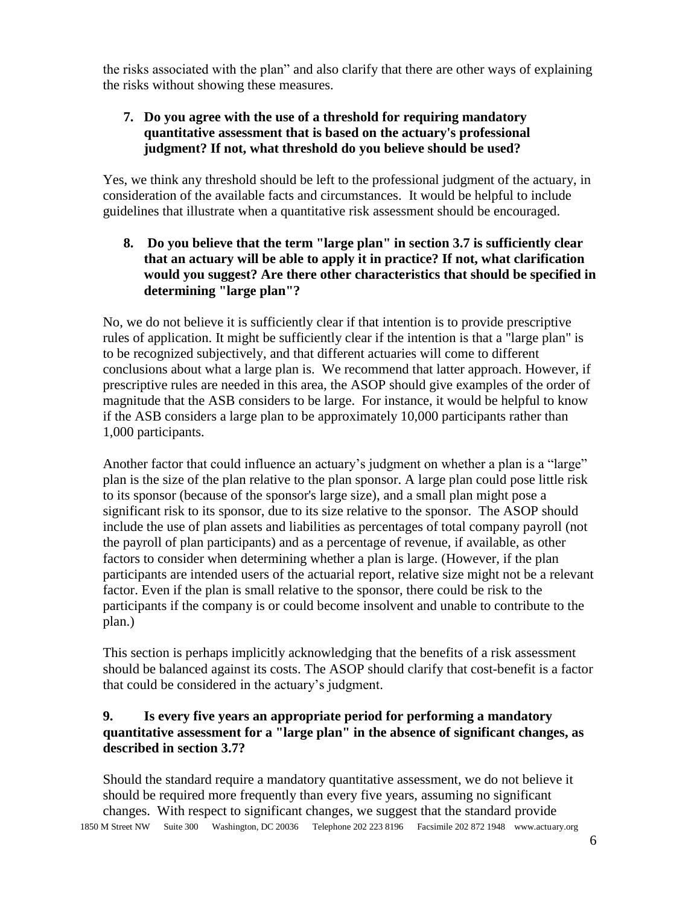the risks associated with the plan" and also clarify that there are other ways of explaining the risks without showing these measures.

# **7. Do you agree with the use of a threshold for requiring mandatory quantitative assessment that is based on the actuary's professional judgment? If not, what threshold do you believe should be used?**

Yes, we think any threshold should be left to the professional judgment of the actuary, in consideration of the available facts and circumstances. It would be helpful to include guidelines that illustrate when a quantitative risk assessment should be encouraged.

**8. Do you believe that the term "large plan" in section 3.7 is sufficiently clear that an actuary will be able to apply it in practice? If not, what clarification would you suggest? Are there other characteristics that should be specified in determining "large plan"?**

No, we do not believe it is sufficiently clear if that intention is to provide prescriptive rules of application. It might be sufficiently clear if the intention is that a "large plan" is to be recognized subjectively, and that different actuaries will come to different conclusions about what a large plan is. We recommend that latter approach. However, if prescriptive rules are needed in this area, the ASOP should give examples of the order of magnitude that the ASB considers to be large. For instance, it would be helpful to know if the ASB considers a large plan to be approximately 10,000 participants rather than 1,000 participants.

Another factor that could influence an actuary's judgment on whether a plan is a "large" plan is the size of the plan relative to the plan sponsor. A large plan could pose little risk to its sponsor (because of the sponsor's large size), and a small plan might pose a significant risk to its sponsor, due to its size relative to the sponsor. The ASOP should include the use of plan assets and liabilities as percentages of total company payroll (not the payroll of plan participants) and as a percentage of revenue, if available, as other factors to consider when determining whether a plan is large. (However, if the plan participants are intended users of the actuarial report, relative size might not be a relevant factor. Even if the plan is small relative to the sponsor, there could be risk to the participants if the company is or could become insolvent and unable to contribute to the plan.)

This section is perhaps implicitly acknowledging that the benefits of a risk assessment should be balanced against its costs. The ASOP should clarify that cost-benefit is a factor that could be considered in the actuary's judgment.

### **9. Is every five years an appropriate period for performing a mandatory quantitative assessment for a "large plan" in the absence of significant changes, as described in section 3.7?**

1850 M Street NW Suite 300 Washington, DC 20036 Telephone 202 223 8196 Facsimile 202 872 1948 www.actuary.org Should the standard require a mandatory quantitative assessment, we do not believe it should be required more frequently than every five years, assuming no significant changes. With respect to significant changes, we suggest that the standard provide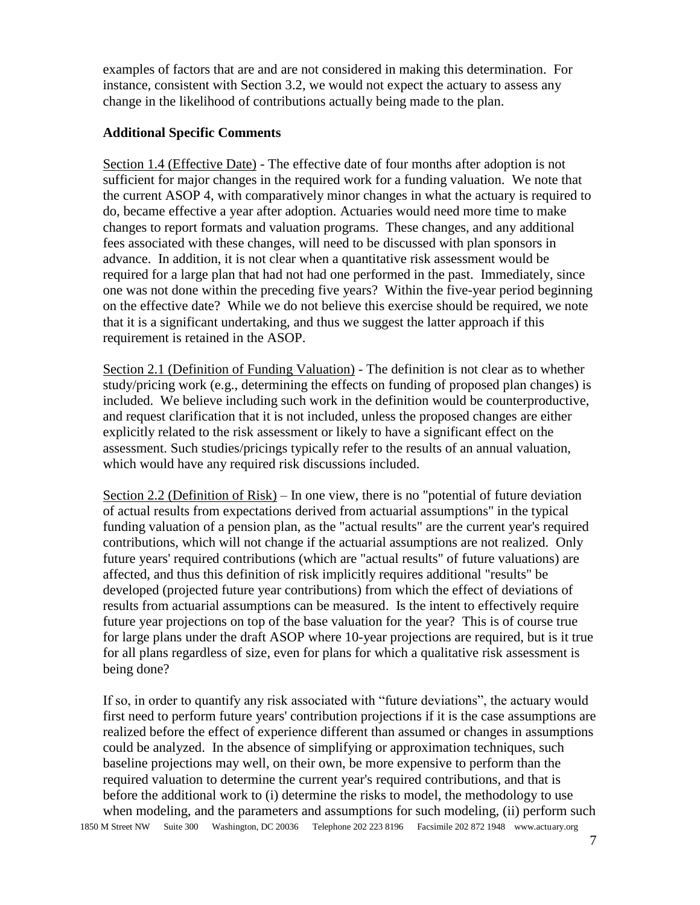examples of factors that are and are not considered in making this determination. For instance, consistent with Section 3.2, we would not expect the actuary to assess any change in the likelihood of contributions actually being made to the plan.

#### **Additional Specific Comments**

Section 1.4 (Effective Date) - The effective date of four months after adoption is not sufficient for major changes in the required work for a funding valuation. We note that the current ASOP 4, with comparatively minor changes in what the actuary is required to do, became effective a year after adoption. Actuaries would need more time to make changes to report formats and valuation programs. These changes, and any additional fees associated with these changes, will need to be discussed with plan sponsors in advance. In addition, it is not clear when a quantitative risk assessment would be required for a large plan that had not had one performed in the past. Immediately, since one was not done within the preceding five years? Within the five-year period beginning on the effective date? While we do not believe this exercise should be required, we note that it is a significant undertaking, and thus we suggest the latter approach if this requirement is retained in the ASOP.

Section 2.1 (Definition of Funding Valuation) - The definition is not clear as to whether study/pricing work (e.g., determining the effects on funding of proposed plan changes) is included. We believe including such work in the definition would be counterproductive, and request clarification that it is not included, unless the proposed changes are either explicitly related to the risk assessment or likely to have a significant effect on the assessment. Such studies/pricings typically refer to the results of an annual valuation, which would have any required risk discussions included.

Section 2.2 (Definition of Risk) – In one view, there is no "potential of future deviation of actual results from expectations derived from actuarial assumptions" in the typical funding valuation of a pension plan, as the "actual results" are the current year's required contributions, which will not change if the actuarial assumptions are not realized. Only future years' required contributions (which are "actual results" of future valuations) are affected, and thus this definition of risk implicitly requires additional "results" be developed (projected future year contributions) from which the effect of deviations of results from actuarial assumptions can be measured. Is the intent to effectively require future year projections on top of the base valuation for the year? This is of course true for large plans under the draft ASOP where 10-year projections are required, but is it true for all plans regardless of size, even for plans for which a qualitative risk assessment is being done?

1850 M Street NW Suite 300 Washington, DC 20036 Telephone 202 223 8196 Facsimile 202 872 1948 www.actuary.org If so, in order to quantify any risk associated with "future deviations", the actuary would first need to perform future years' contribution projections if it is the case assumptions are realized before the effect of experience different than assumed or changes in assumptions could be analyzed. In the absence of simplifying or approximation techniques, such baseline projections may well, on their own, be more expensive to perform than the required valuation to determine the current year's required contributions, and that is before the additional work to (i) determine the risks to model, the methodology to use when modeling, and the parameters and assumptions for such modeling, (ii) perform such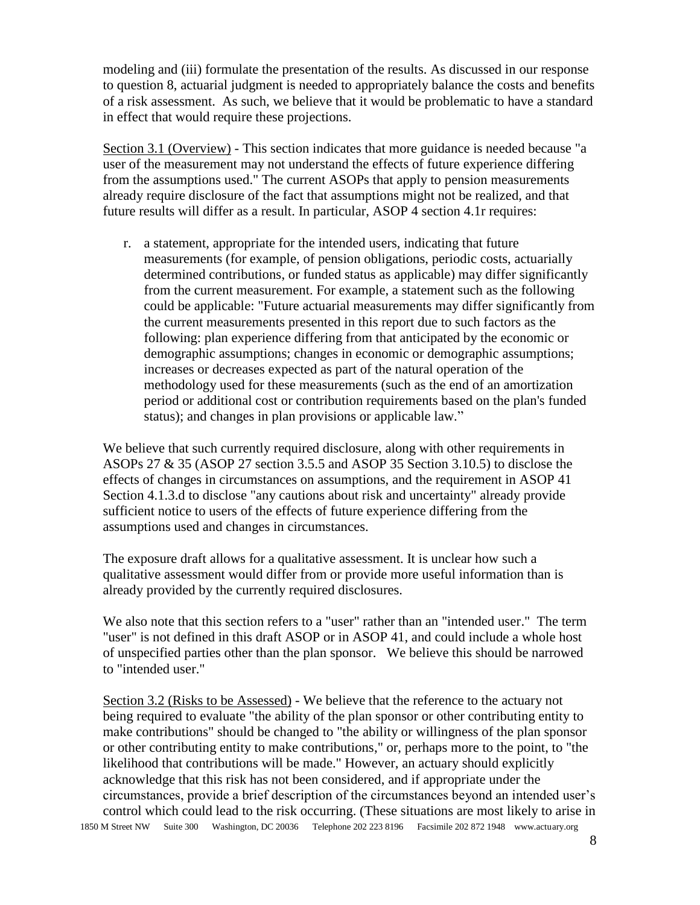modeling and (iii) formulate the presentation of the results. As discussed in our response to question 8, actuarial judgment is needed to appropriately balance the costs and benefits of a risk assessment. As such, we believe that it would be problematic to have a standard in effect that would require these projections.

Section 3.1 (Overview) - This section indicates that more guidance is needed because "a user of the measurement may not understand the effects of future experience differing from the assumptions used." The current ASOPs that apply to pension measurements already require disclosure of the fact that assumptions might not be realized, and that future results will differ as a result. In particular, ASOP 4 section 4.1r requires:

r. a statement, appropriate for the intended users, indicating that future measurements (for example, of pension obligations, periodic costs, actuarially determined contributions, or funded status as applicable) may differ significantly from the current measurement. For example, a statement such as the following could be applicable: "Future actuarial measurements may differ significantly from the current measurements presented in this report due to such factors as the following: plan experience differing from that anticipated by the economic or demographic assumptions; changes in economic or demographic assumptions; increases or decreases expected as part of the natural operation of the methodology used for these measurements (such as the end of an amortization period or additional cost or contribution requirements based on the plan's funded status); and changes in plan provisions or applicable law."

We believe that such currently required disclosure, along with other requirements in ASOPs 27 & 35 (ASOP 27 section 3.5.5 and ASOP 35 Section 3.10.5) to disclose the effects of changes in circumstances on assumptions, and the requirement in ASOP 41 Section 4.1.3.d to disclose "any cautions about risk and uncertainty" already provide sufficient notice to users of the effects of future experience differing from the assumptions used and changes in circumstances.

The exposure draft allows for a qualitative assessment. It is unclear how such a qualitative assessment would differ from or provide more useful information than is already provided by the currently required disclosures.

We also note that this section refers to a "user" rather than an "intended user." The term "user" is not defined in this draft ASOP or in ASOP 41, and could include a whole host of unspecified parties other than the plan sponsor. We believe this should be narrowed to "intended user."

1850 M Street NW Suite 300 Washington, DC 20036 Telephone 202 223 8196 Facsimile 202 872 1948 www.actuary.org Section 3.2 (Risks to be Assessed) - We believe that the reference to the actuary not being required to evaluate "the ability of the plan sponsor or other contributing entity to make contributions" should be changed to "the ability or willingness of the plan sponsor or other contributing entity to make contributions," or, perhaps more to the point, to "the likelihood that contributions will be made." However, an actuary should explicitly acknowledge that this risk has not been considered, and if appropriate under the circumstances, provide a brief description of the circumstances beyond an intended user's control which could lead to the risk occurring. (These situations are most likely to arise in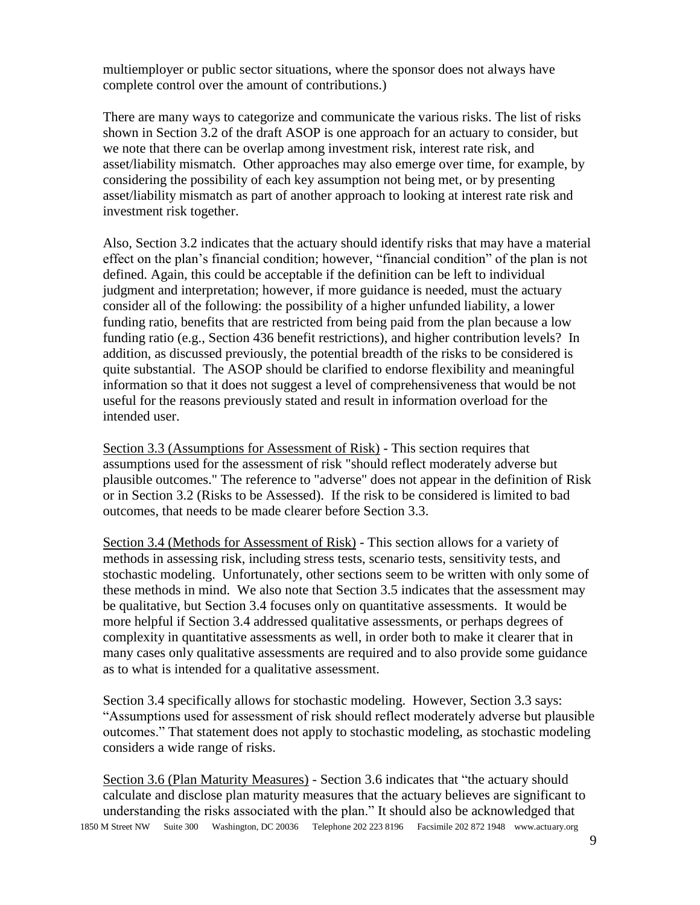multiemployer or public sector situations, where the sponsor does not always have complete control over the amount of contributions.)

There are many ways to categorize and communicate the various risks. The list of risks shown in Section 3.2 of the draft ASOP is one approach for an actuary to consider, but we note that there can be overlap among investment risk, interest rate risk, and asset/liability mismatch. Other approaches may also emerge over time, for example, by considering the possibility of each key assumption not being met, or by presenting asset/liability mismatch as part of another approach to looking at interest rate risk and investment risk together.

Also, Section 3.2 indicates that the actuary should identify risks that may have a material effect on the plan's financial condition; however, "financial condition" of the plan is not defined. Again, this could be acceptable if the definition can be left to individual judgment and interpretation; however, if more guidance is needed, must the actuary consider all of the following: the possibility of a higher unfunded liability, a lower funding ratio, benefits that are restricted from being paid from the plan because a low funding ratio (e.g., Section 436 benefit restrictions), and higher contribution levels? In addition, as discussed previously, the potential breadth of the risks to be considered is quite substantial. The ASOP should be clarified to endorse flexibility and meaningful information so that it does not suggest a level of comprehensiveness that would be not useful for the reasons previously stated and result in information overload for the intended user.

Section 3.3 (Assumptions for Assessment of Risk) - This section requires that assumptions used for the assessment of risk "should reflect moderately adverse but plausible outcomes." The reference to "adverse" does not appear in the definition of Risk or in Section 3.2 (Risks to be Assessed). If the risk to be considered is limited to bad outcomes, that needs to be made clearer before Section 3.3.

Section 3.4 (Methods for Assessment of Risk) - This section allows for a variety of methods in assessing risk, including stress tests, scenario tests, sensitivity tests, and stochastic modeling. Unfortunately, other sections seem to be written with only some of these methods in mind. We also note that Section 3.5 indicates that the assessment may be qualitative, but Section 3.4 focuses only on quantitative assessments. It would be more helpful if Section 3.4 addressed qualitative assessments, or perhaps degrees of complexity in quantitative assessments as well, in order both to make it clearer that in many cases only qualitative assessments are required and to also provide some guidance as to what is intended for a qualitative assessment.

Section 3.4 specifically allows for stochastic modeling. However, Section 3.3 says: "Assumptions used for assessment of risk should reflect moderately adverse but plausible outcomes." That statement does not apply to stochastic modeling, as stochastic modeling considers a wide range of risks.

1850 M Street NW Suite 300 Washington, DC 20036 Telephone 202 223 8196 Facsimile 202 872 1948 www.actuary.org Section 3.6 (Plan Maturity Measures) - Section 3.6 indicates that "the actuary should calculate and disclose plan maturity measures that the actuary believes are significant to understanding the risks associated with the plan." It should also be acknowledged that